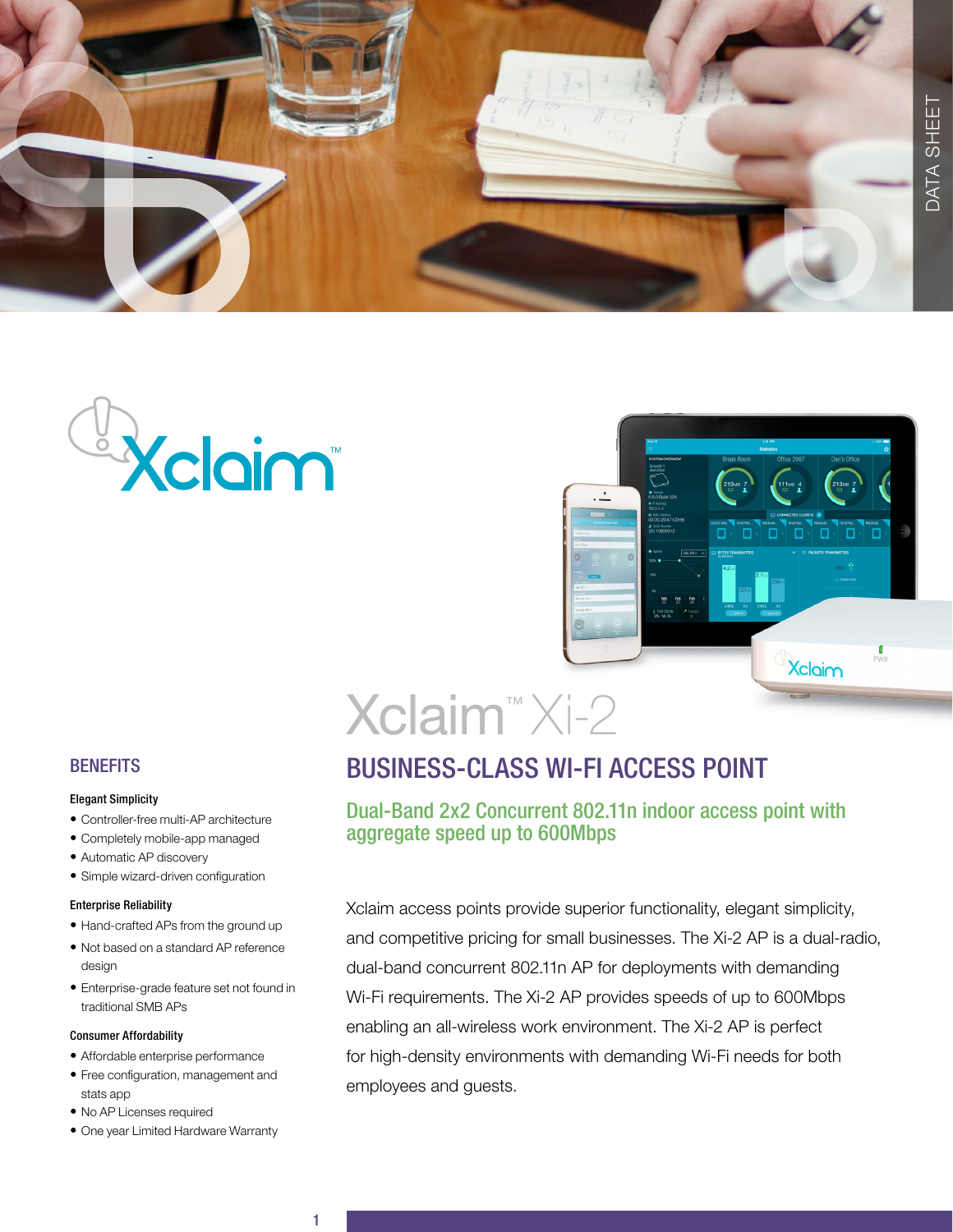





# Xclaim<sup>™</sup> Xi-2

# BUSINESS-CLASS WI-FI ACCESS POINT

## Dual-Band 2x2 Concurrent 802.11n indoor access point with aggregate speed up to 600Mbps

Xclaim access points provide superior functionality, elegant simplicity, and competitive pricing for small businesses. The Xi-2 AP is a dual-radio, dual-band concurrent 802.11n AP for deployments with demanding Wi-Fi requirements. The Xi-2 AP provides speeds of up to 600Mbps enabling an all-wireless work environment. The Xi-2 AP is perfect for high-density environments with demanding Wi-Fi needs for both employees and guests.

## **BENEFITS**

#### Elegant Simplicity

- Controller-free multi-AP architecture
- Completely mobile-app managed
- Automatic AP discovery
- Simple wizard-driven configuration

### Enterprise Reliability

- Hand-crafted APs from the ground up
- Not based on a standard AP reference design
- Enterprise-grade feature set not found in traditional SMB APs

### Consumer Affordability

- Affordable enterprise performance
- Free configuration, management and stats app
- No AP Licenses required
- One year Limited Hardware Warranty

1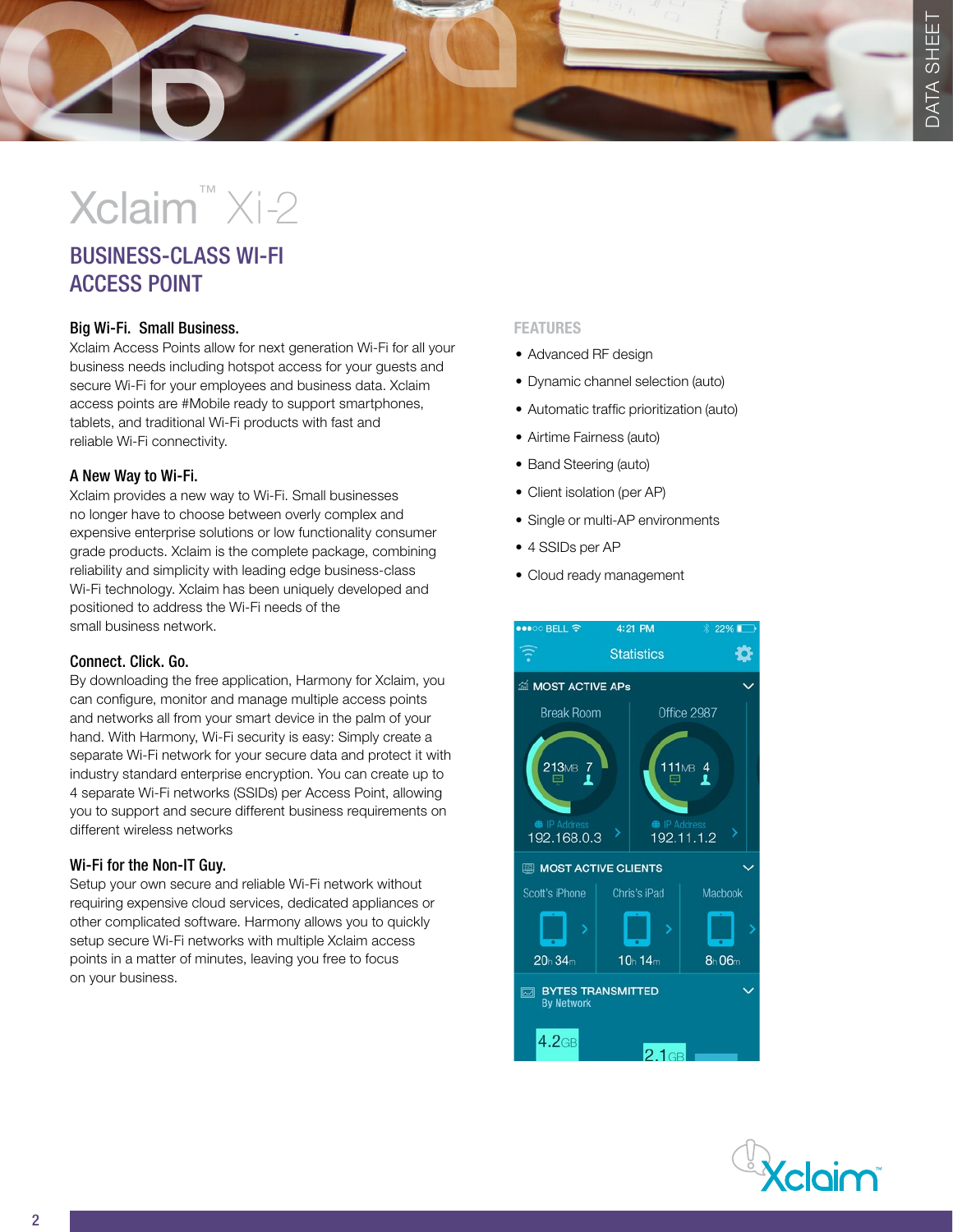# Xclaim™ Xi-2

# BUSINESS-CLASS WI-FI ACCESS POINT

## Big Wi-Fi. Small Business.

Xclaim Access Points allow for next generation Wi-Fi for all your business needs including hotspot access for your guests and secure Wi-Fi for your employees and business data. Xclaim access points are #Mobile ready to support smartphones, tablets, and traditional Wi-Fi products with fast and reliable Wi-Fi connectivity.

## A New Way to Wi-Fi.

Xclaim provides a new way to Wi-Fi. Small businesses no longer have to choose between overly complex and expensive enterprise solutions or low functionality consumer grade products. Xclaim is the complete package, combining reliability and simplicity with leading edge business-class Wi-Fi technology. Xclaim has been uniquely developed and positioned to address the Wi-Fi needs of the small business network.

## Connect. Click. Go.

By downloading the free application, Harmony for Xclaim, you can configure, monitor and manage multiple access points and networks all from your smart device in the palm of your hand. With Harmony, Wi-Fi security is easy: Simply create a separate Wi-Fi network for your secure data and protect it with industry standard enterprise encryption. You can create up to 4 separate Wi-Fi networks (SSIDs) per Access Point, allowing you to support and secure different business requirements on different wireless networks

## Wi-Fi for the Non-IT Guy.

Setup your own secure and reliable Wi-Fi network without requiring expensive cloud services, dedicated appliances or other complicated software. Harmony allows you to quickly setup secure Wi-Fi networks with multiple Xclaim access points in a matter of minutes, leaving you free to focus on your business.

## FEATURES

- Advanced RF design
- Dynamic channel selection (auto)
- Automatic traffic prioritization (auto)
- Airtime Fairness (auto)
- Band Steering (auto)
- Client isolation (per AP)
- Single or multi-AP environments
- 4 SSIDs per AP
- Cloud ready management